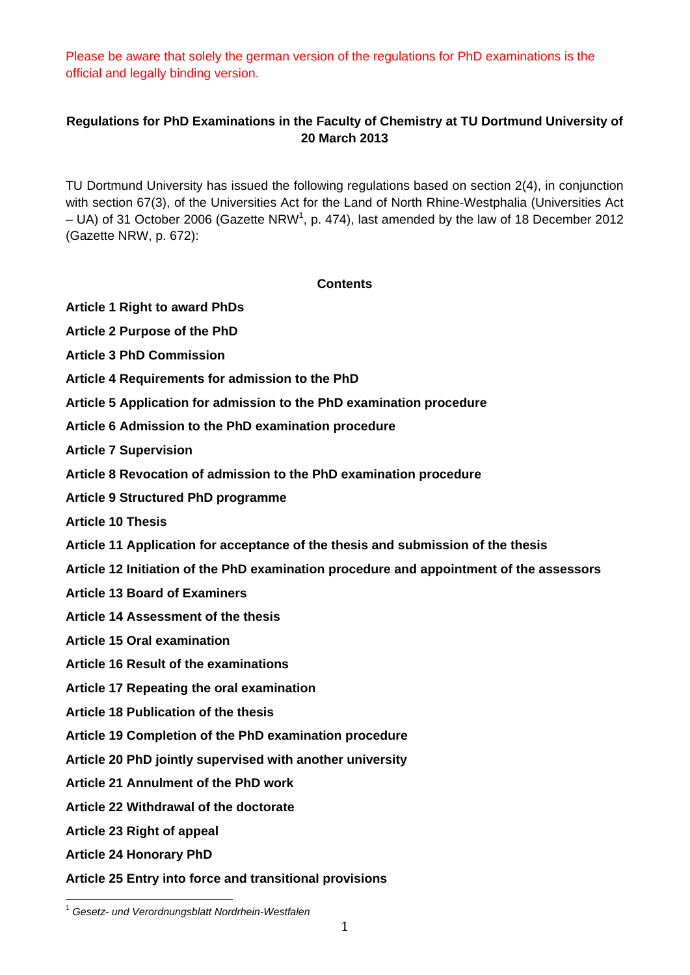Please be aware that solely the german version of the regulations for PhD examinations is the official and legally binding version.

# **Regulations for PhD Examinations in the Faculty of Chemistry at TU Dortmund University of 20 March 2013**

TU Dortmund University has issued the following regulations based on section 2(4), in conjunction with section 67(3), of the Universities Act for the Land of North Rhine-Westphalia (Universities Act  $-$  UA) of 31 October 2006 (Gazette NRW<sup>1</sup>, p. 474), last amended by the law of 18 December 2012 (Gazette NRW, p. 672):

# **Contents**

**Article 1 Right to award PhDs** 

**Article 2 Purpose of the PhD** 

**Article 3 PhD Commission** 

**Article 4 Requirements for admission to the PhD** 

**Article 5 Application for admission to the PhD examination procedure** 

**Article 6 Admission to the PhD examination procedure** 

**Article 7 Supervision** 

**Article 8 Revocation of admission to the PhD examination procedure** 

**Article 9 Structured PhD programme** 

**Article 10 Thesis** 

**Article 11 Application for acceptance of the thesis and submission of the thesis** 

**Article 12 Initiation of the PhD examination procedure and appointment of the assessors** 

**Article 13 Board of Examiners** 

**Article 14 Assessment of the thesis** 

**Article 15 Oral examination** 

**Article 16 Result of the examinations** 

**Article 17 Repeating the oral examination** 

**Article 18 Publication of the thesis** 

**Article 19 Completion of the PhD examination procedure** 

**Article 20 PhD jointly supervised with another university** 

**Article 21 Annulment of the PhD work** 

**Article 22 Withdrawal of the doctorate** 

**Article 23 Right of appeal** 

**Article 24 Honorary PhD** 

 

**Article 25 Entry into force and transitional provisions** 

<sup>1</sup> *Gesetz- und Verordnungsblatt Nordrhein-Westfalen*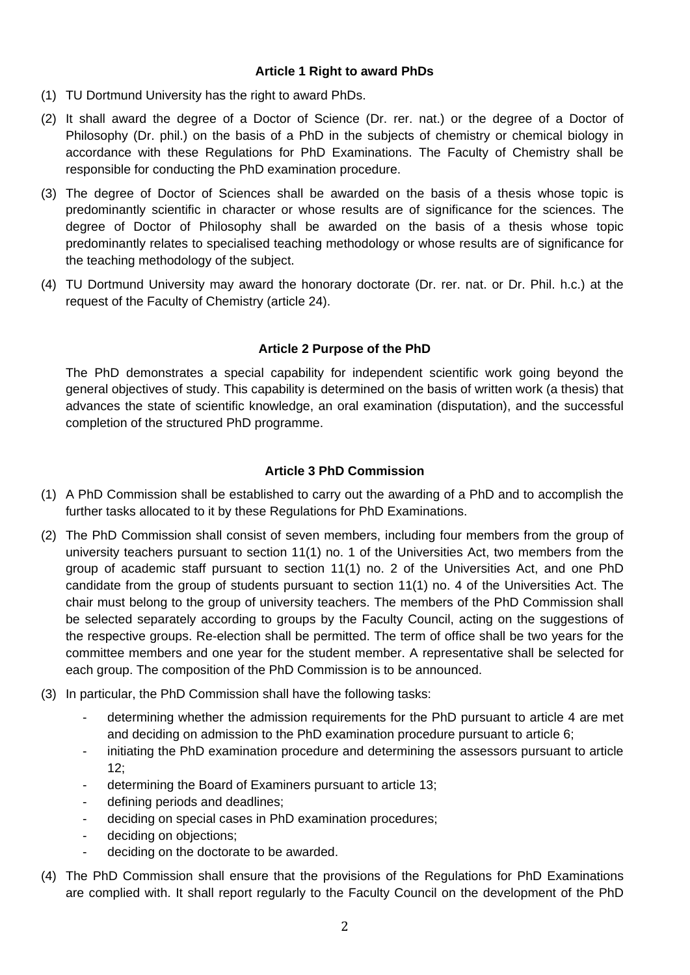### **Article 1 Right to award PhDs**

- (1) TU Dortmund University has the right to award PhDs.
- (2) It shall award the degree of a Doctor of Science (Dr. rer. nat.) or the degree of a Doctor of Philosophy (Dr. phil.) on the basis of a PhD in the subjects of chemistry or chemical biology in accordance with these Regulations for PhD Examinations. The Faculty of Chemistry shall be responsible for conducting the PhD examination procedure.
- (3) The degree of Doctor of Sciences shall be awarded on the basis of a thesis whose topic is predominantly scientific in character or whose results are of significance for the sciences. The degree of Doctor of Philosophy shall be awarded on the basis of a thesis whose topic predominantly relates to specialised teaching methodology or whose results are of significance for the teaching methodology of the subject.
- (4) TU Dortmund University may award the honorary doctorate (Dr. rer. nat. or Dr. Phil. h.c.) at the request of the Faculty of Chemistry (article 24).

# **Article 2 Purpose of the PhD**

The PhD demonstrates a special capability for independent scientific work going beyond the general objectives of study. This capability is determined on the basis of written work (a thesis) that advances the state of scientific knowledge, an oral examination (disputation), and the successful completion of the structured PhD programme.

# **Article 3 PhD Commission**

- (1) A PhD Commission shall be established to carry out the awarding of a PhD and to accomplish the further tasks allocated to it by these Regulations for PhD Examinations.
- (2) The PhD Commission shall consist of seven members, including four members from the group of university teachers pursuant to section 11(1) no. 1 of the Universities Act, two members from the group of academic staff pursuant to section 11(1) no. 2 of the Universities Act, and one PhD candidate from the group of students pursuant to section 11(1) no. 4 of the Universities Act. The chair must belong to the group of university teachers. The members of the PhD Commission shall be selected separately according to groups by the Faculty Council, acting on the suggestions of the respective groups. Re-election shall be permitted. The term of office shall be two years for the committee members and one year for the student member. A representative shall be selected for each group. The composition of the PhD Commission is to be announced.
- (3) In particular, the PhD Commission shall have the following tasks:
	- determining whether the admission requirements for the PhD pursuant to article 4 are met and deciding on admission to the PhD examination procedure pursuant to article 6;
	- initiating the PhD examination procedure and determining the assessors pursuant to article 12;
	- determining the Board of Examiners pursuant to article 13;
	- defining periods and deadlines;
	- deciding on special cases in PhD examination procedures;
	- deciding on objections;
	- deciding on the doctorate to be awarded.
- (4) The PhD Commission shall ensure that the provisions of the Regulations for PhD Examinations are complied with. It shall report regularly to the Faculty Council on the development of the PhD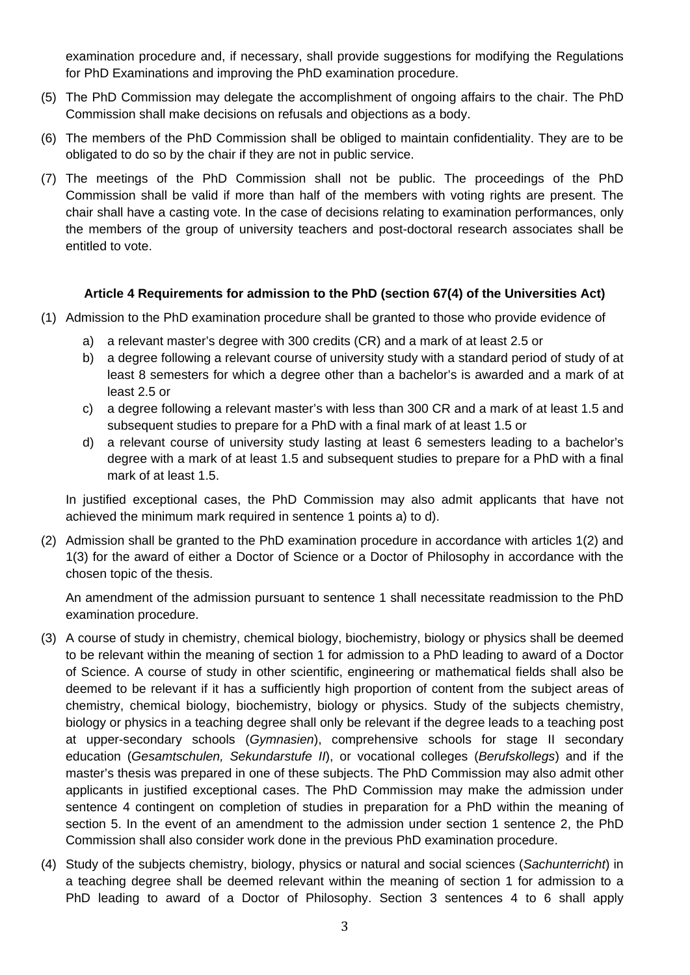examination procedure and, if necessary, shall provide suggestions for modifying the Regulations for PhD Examinations and improving the PhD examination procedure.

- (5) The PhD Commission may delegate the accomplishment of ongoing affairs to the chair. The PhD Commission shall make decisions on refusals and objections as a body.
- (6) The members of the PhD Commission shall be obliged to maintain confidentiality. They are to be obligated to do so by the chair if they are not in public service.
- (7) The meetings of the PhD Commission shall not be public. The proceedings of the PhD Commission shall be valid if more than half of the members with voting rights are present. The chair shall have a casting vote. In the case of decisions relating to examination performances, only the members of the group of university teachers and post-doctoral research associates shall be entitled to vote.

# **Article 4 Requirements for admission to the PhD (section 67(4) of the Universities Act)**

- (1) Admission to the PhD examination procedure shall be granted to those who provide evidence of
	- a) a relevant master's degree with 300 credits (CR) and a mark of at least 2.5 or
	- b) a degree following a relevant course of university study with a standard period of study of at least 8 semesters for which a degree other than a bachelor's is awarded and a mark of at least 2.5 or
	- c) a degree following a relevant master's with less than 300 CR and a mark of at least 1.5 and subsequent studies to prepare for a PhD with a final mark of at least 1.5 or
	- d) a relevant course of university study lasting at least 6 semesters leading to a bachelor's degree with a mark of at least 1.5 and subsequent studies to prepare for a PhD with a final mark of at least 1.5.

In justified exceptional cases, the PhD Commission may also admit applicants that have not achieved the minimum mark required in sentence 1 points a) to d).

(2) Admission shall be granted to the PhD examination procedure in accordance with articles 1(2) and 1(3) for the award of either a Doctor of Science or a Doctor of Philosophy in accordance with the chosen topic of the thesis.

An amendment of the admission pursuant to sentence 1 shall necessitate readmission to the PhD examination procedure.

- (3) A course of study in chemistry, chemical biology, biochemistry, biology or physics shall be deemed to be relevant within the meaning of section 1 for admission to a PhD leading to award of a Doctor of Science. A course of study in other scientific, engineering or mathematical fields shall also be deemed to be relevant if it has a sufficiently high proportion of content from the subject areas of chemistry, chemical biology, biochemistry, biology or physics. Study of the subjects chemistry, biology or physics in a teaching degree shall only be relevant if the degree leads to a teaching post at upper-secondary schools (*Gymnasien*), comprehensive schools for stage II secondary education (*Gesamtschulen, Sekundarstufe II*), or vocational colleges (*Berufskollegs*) and if the master's thesis was prepared in one of these subjects. The PhD Commission may also admit other applicants in justified exceptional cases. The PhD Commission may make the admission under sentence 4 contingent on completion of studies in preparation for a PhD within the meaning of section 5. In the event of an amendment to the admission under section 1 sentence 2, the PhD Commission shall also consider work done in the previous PhD examination procedure.
- (4) Study of the subjects chemistry, biology, physics or natural and social sciences (*Sachunterricht*) in a teaching degree shall be deemed relevant within the meaning of section 1 for admission to a PhD leading to award of a Doctor of Philosophy. Section 3 sentences 4 to 6 shall apply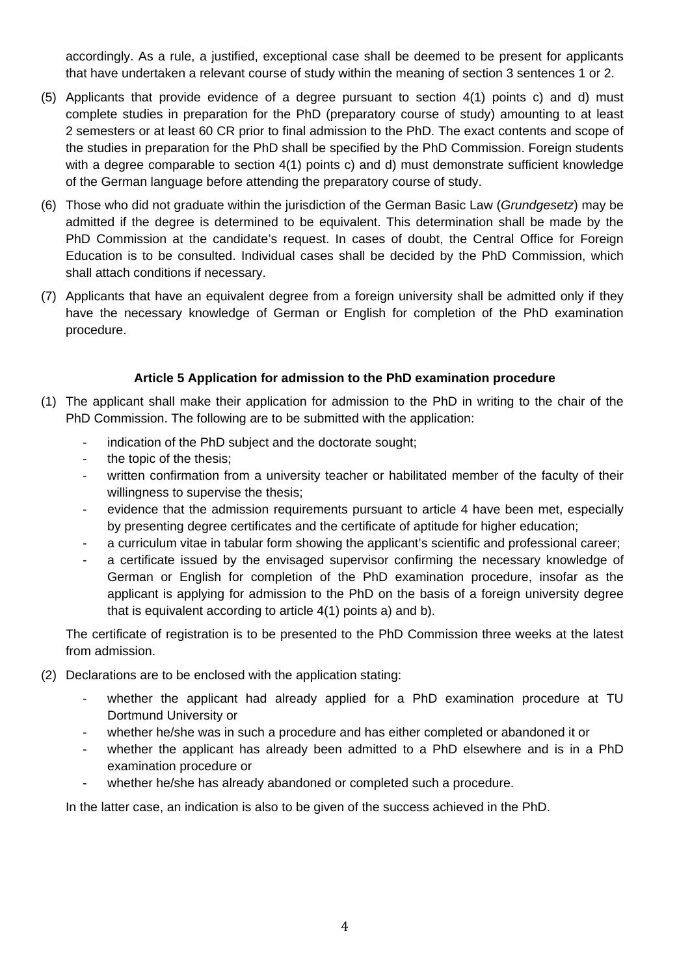accordingly. As a rule, a justified, exceptional case shall be deemed to be present for applicants that have undertaken a relevant course of study within the meaning of section 3 sentences 1 or 2.

- (5) Applicants that provide evidence of a degree pursuant to section 4(1) points c) and d) must complete studies in preparation for the PhD (preparatory course of study) amounting to at least 2 semesters or at least 60 CR prior to final admission to the PhD. The exact contents and scope of the studies in preparation for the PhD shall be specified by the PhD Commission. Foreign students with a degree comparable to section 4(1) points c) and d) must demonstrate sufficient knowledge of the German language before attending the preparatory course of study.
- (6) Those who did not graduate within the jurisdiction of the German Basic Law (*Grundgesetz*) may be admitted if the degree is determined to be equivalent. This determination shall be made by the PhD Commission at the candidate's request. In cases of doubt, the Central Office for Foreign Education is to be consulted. Individual cases shall be decided by the PhD Commission, which shall attach conditions if necessary.
- (7) Applicants that have an equivalent degree from a foreign university shall be admitted only if they have the necessary knowledge of German or English for completion of the PhD examination procedure.

# **Article 5 Application for admission to the PhD examination procedure**

- (1) The applicant shall make their application for admission to the PhD in writing to the chair of the PhD Commission. The following are to be submitted with the application:
	- indication of the PhD subject and the doctorate sought:
	- the topic of the thesis;
	- written confirmation from a university teacher or habilitated member of the faculty of their willingness to supervise the thesis;
	- evidence that the admission requirements pursuant to article 4 have been met, especially by presenting degree certificates and the certificate of aptitude for higher education;
	- a curriculum vitae in tabular form showing the applicant's scientific and professional career;
	- a certificate issued by the envisaged supervisor confirming the necessary knowledge of German or English for completion of the PhD examination procedure, insofar as the applicant is applying for admission to the PhD on the basis of a foreign university degree that is equivalent according to article 4(1) points a) and b).

The certificate of registration is to be presented to the PhD Commission three weeks at the latest from admission.

- (2) Declarations are to be enclosed with the application stating:
	- whether the applicant had already applied for a PhD examination procedure at TU Dortmund University or
	- whether he/she was in such a procedure and has either completed or abandoned it or
	- whether the applicant has already been admitted to a PhD elsewhere and is in a PhD examination procedure or
	- whether he/she has already abandoned or completed such a procedure.

In the latter case, an indication is also to be given of the success achieved in the PhD.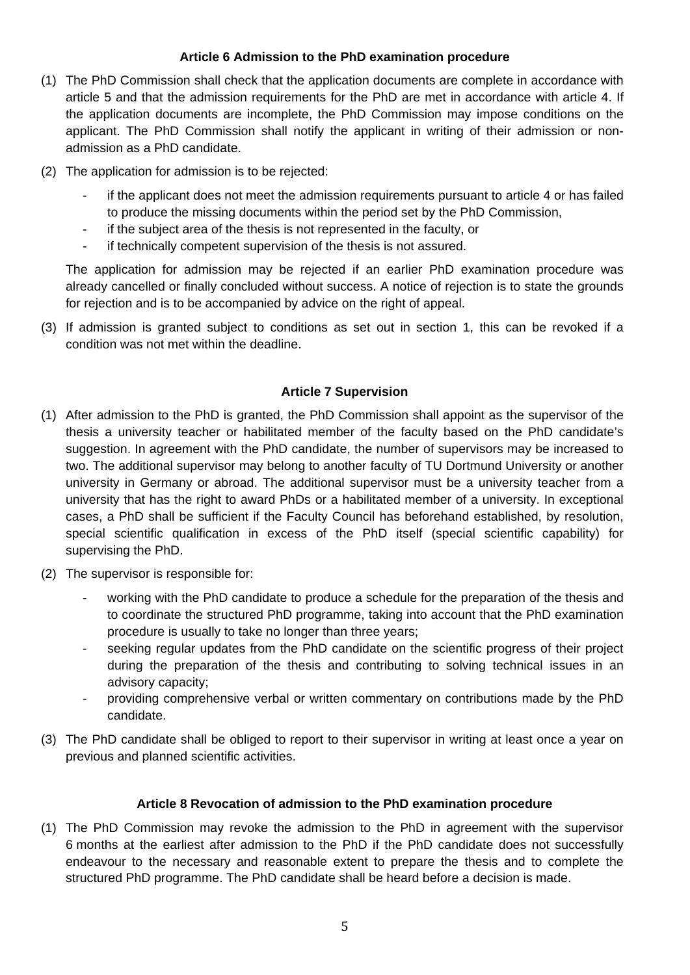# **Article 6 Admission to the PhD examination procedure**

- (1) The PhD Commission shall check that the application documents are complete in accordance with article 5 and that the admission requirements for the PhD are met in accordance with article 4. If the application documents are incomplete, the PhD Commission may impose conditions on the applicant. The PhD Commission shall notify the applicant in writing of their admission or nonadmission as a PhD candidate.
- (2) The application for admission is to be rejected:
	- if the applicant does not meet the admission requirements pursuant to article 4 or has failed to produce the missing documents within the period set by the PhD Commission,
	- if the subject area of the thesis is not represented in the faculty, or
	- if technically competent supervision of the thesis is not assured.

The application for admission may be rejected if an earlier PhD examination procedure was already cancelled or finally concluded without success. A notice of rejection is to state the grounds for rejection and is to be accompanied by advice on the right of appeal.

(3) If admission is granted subject to conditions as set out in section 1, this can be revoked if a condition was not met within the deadline.

### **Article 7 Supervision**

- (1) After admission to the PhD is granted, the PhD Commission shall appoint as the supervisor of the thesis a university teacher or habilitated member of the faculty based on the PhD candidate's suggestion. In agreement with the PhD candidate, the number of supervisors may be increased to two. The additional supervisor may belong to another faculty of TU Dortmund University or another university in Germany or abroad. The additional supervisor must be a university teacher from a university that has the right to award PhDs or a habilitated member of a university. In exceptional cases, a PhD shall be sufficient if the Faculty Council has beforehand established, by resolution, special scientific qualification in excess of the PhD itself (special scientific capability) for supervising the PhD.
- (2) The supervisor is responsible for:
	- working with the PhD candidate to produce a schedule for the preparation of the thesis and to coordinate the structured PhD programme, taking into account that the PhD examination procedure is usually to take no longer than three years;
	- seeking regular updates from the PhD candidate on the scientific progress of their project during the preparation of the thesis and contributing to solving technical issues in an advisory capacity;
	- providing comprehensive verbal or written commentary on contributions made by the PhD candidate.
- (3) The PhD candidate shall be obliged to report to their supervisor in writing at least once a year on previous and planned scientific activities.

### **Article 8 Revocation of admission to the PhD examination procedure**

(1) The PhD Commission may revoke the admission to the PhD in agreement with the supervisor 6 months at the earliest after admission to the PhD if the PhD candidate does not successfully endeavour to the necessary and reasonable extent to prepare the thesis and to complete the structured PhD programme. The PhD candidate shall be heard before a decision is made.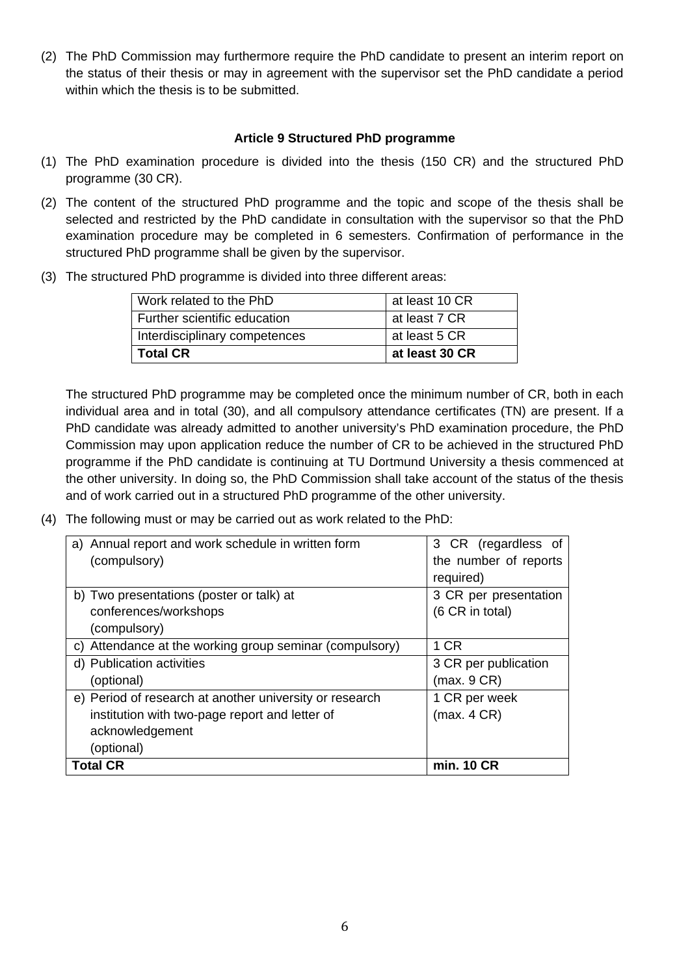(2) The PhD Commission may furthermore require the PhD candidate to present an interim report on the status of their thesis or may in agreement with the supervisor set the PhD candidate a period within which the thesis is to be submitted.

### **Article 9 Structured PhD programme**

- (1) The PhD examination procedure is divided into the thesis (150 CR) and the structured PhD programme (30 CR).
- (2) The content of the structured PhD programme and the topic and scope of the thesis shall be selected and restricted by the PhD candidate in consultation with the supervisor so that the PhD examination procedure may be completed in 6 semesters. Confirmation of performance in the structured PhD programme shall be given by the supervisor.
- (3) The structured PhD programme is divided into three different areas:

| Work related to the PhD       | at least 10 CR |
|-------------------------------|----------------|
| Further scientific education  | at least 7 CR  |
| Interdisciplinary competences | at least 5 CR  |
| <b>Total CR</b>               | at least 30 CR |

The structured PhD programme may be completed once the minimum number of CR, both in each individual area and in total (30), and all compulsory attendance certificates (TN) are present. If a PhD candidate was already admitted to another university's PhD examination procedure, the PhD Commission may upon application reduce the number of CR to be achieved in the structured PhD programme if the PhD candidate is continuing at TU Dortmund University a thesis commenced at the other university. In doing so, the PhD Commission shall take account of the status of the thesis and of work carried out in a structured PhD programme of the other university.

(4) The following must or may be carried out as work related to the PhD:

| a) Annual report and work schedule in written form      | 3 CR (regardless of   |
|---------------------------------------------------------|-----------------------|
| (compulsory)                                            | the number of reports |
|                                                         | required)             |
| b) Two presentations (poster or talk) at                | 3 CR per presentation |
| conferences/workshops                                   | (6 CR in total)       |
| (compulsory)                                            |                       |
| c) Attendance at the working group seminar (compulsory) | 1 CR                  |
| d) Publication activities                               | 3 CR per publication  |
| (optional)                                              | (max. 9 CR)           |
| e) Period of research at another university or research | 1 CR per week         |
| institution with two-page report and letter of          | (max. 4 CR)           |
| acknowledgement                                         |                       |
| (optional)                                              |                       |
| <b>Total CR</b>                                         | min. 10 CR            |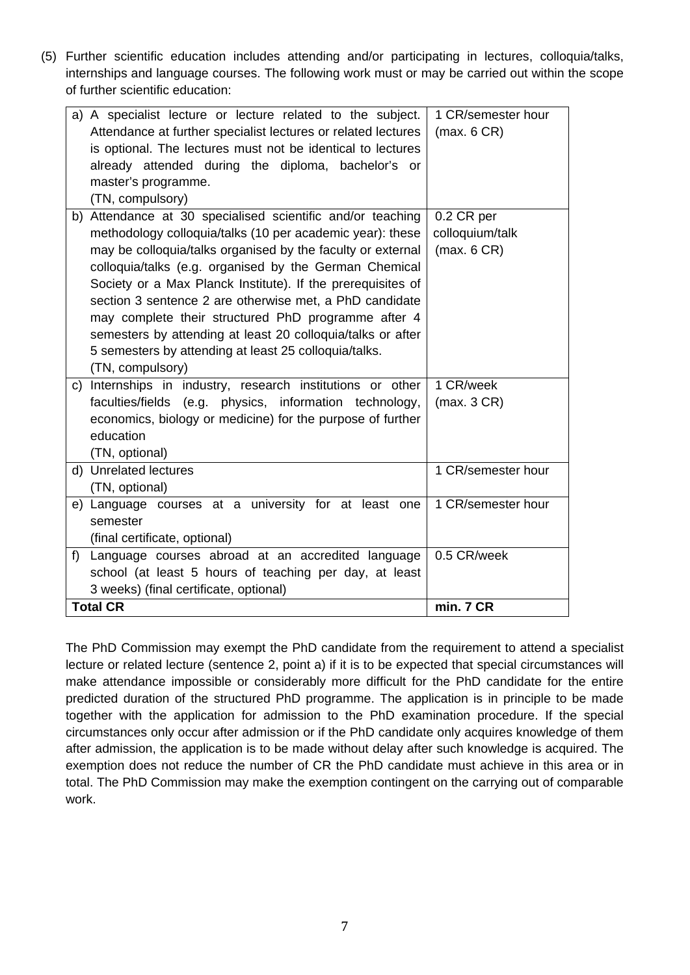(5) Further scientific education includes attending and/or participating in lectures, colloquia/talks, internships and language courses. The following work must or may be carried out within the scope of further scientific education:

| a) A specialist lecture or lecture related to the subject.<br>Attendance at further specialist lectures or related lectures<br>is optional. The lectures must not be identical to lectures<br>already attended during the diploma, bachelor's or<br>master's programme.                                                                                                                                                                                                                                                                                                       | 1 CR/semester hour<br>(max. 6 CR)            |
|-------------------------------------------------------------------------------------------------------------------------------------------------------------------------------------------------------------------------------------------------------------------------------------------------------------------------------------------------------------------------------------------------------------------------------------------------------------------------------------------------------------------------------------------------------------------------------|----------------------------------------------|
| (TN, compulsory)<br>b) Attendance at 30 specialised scientific and/or teaching<br>methodology colloquia/talks (10 per academic year): these<br>may be colloquia/talks organised by the faculty or external<br>colloquia/talks (e.g. organised by the German Chemical<br>Society or a Max Planck Institute). If the prerequisites of<br>section 3 sentence 2 are otherwise met, a PhD candidate<br>may complete their structured PhD programme after 4<br>semesters by attending at least 20 colloquia/talks or after<br>5 semesters by attending at least 25 colloquia/talks. | 0.2 CR per<br>colloquium/talk<br>(max. 6 CR) |
| (TN, compulsory)                                                                                                                                                                                                                                                                                                                                                                                                                                                                                                                                                              |                                              |
| Internships in industry, research institutions or other<br>C)<br>faculties/fields (e.g. physics, information technology,<br>economics, biology or medicine) for the purpose of further<br>education<br>(TN, optional)                                                                                                                                                                                                                                                                                                                                                         | 1 CR/week<br>(max. 3 CR)                     |
| d) Unrelated lectures<br>(TN, optional)                                                                                                                                                                                                                                                                                                                                                                                                                                                                                                                                       | 1 CR/semester hour                           |
| e) Language courses at a university for at least one<br>semester<br>(final certificate, optional)                                                                                                                                                                                                                                                                                                                                                                                                                                                                             | 1 CR/semester hour                           |
| Language courses abroad at an accredited language<br>f<br>school (at least 5 hours of teaching per day, at least<br>3 weeks) (final certificate, optional)                                                                                                                                                                                                                                                                                                                                                                                                                    | 0.5 CR/week                                  |
| <b>Total CR</b>                                                                                                                                                                                                                                                                                                                                                                                                                                                                                                                                                               | min. 7 CR                                    |

The PhD Commission may exempt the PhD candidate from the requirement to attend a specialist lecture or related lecture (sentence 2, point a) if it is to be expected that special circumstances will make attendance impossible or considerably more difficult for the PhD candidate for the entire predicted duration of the structured PhD programme. The application is in principle to be made together with the application for admission to the PhD examination procedure. If the special circumstances only occur after admission or if the PhD candidate only acquires knowledge of them after admission, the application is to be made without delay after such knowledge is acquired. The exemption does not reduce the number of CR the PhD candidate must achieve in this area or in total. The PhD Commission may make the exemption contingent on the carrying out of comparable work.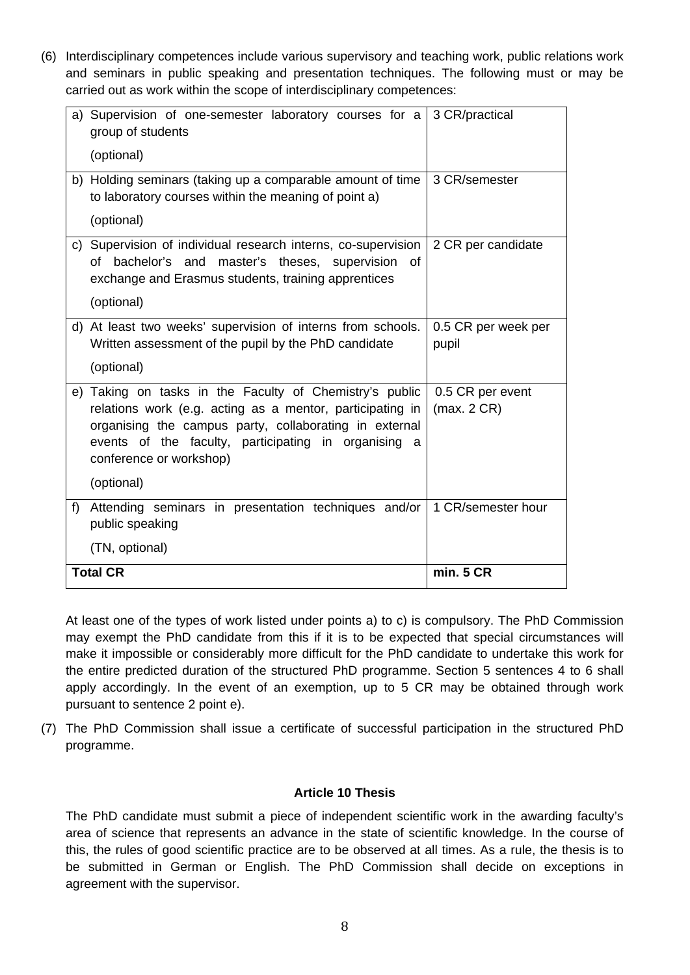(6) Interdisciplinary competences include various supervisory and teaching work, public relations work and seminars in public speaking and presentation techniques. The following must or may be carried out as work within the scope of interdisciplinary competences:

| a) Supervision of one-semester laboratory courses for a<br>group of students<br>(optional)                                                                                                                                                                                      | 3 CR/practical                  |
|---------------------------------------------------------------------------------------------------------------------------------------------------------------------------------------------------------------------------------------------------------------------------------|---------------------------------|
| b) Holding seminars (taking up a comparable amount of time<br>to laboratory courses within the meaning of point a)<br>(optional)                                                                                                                                                | 3 CR/semester                   |
| c) Supervision of individual research interns, co-supervision<br>bachelor's<br>and<br>master's theses, supervision<br>0f<br>οf<br>exchange and Erasmus students, training apprentices<br>(optional)                                                                             | 2 CR per candidate              |
| d) At least two weeks' supervision of interns from schools.<br>Written assessment of the pupil by the PhD candidate<br>(optional)                                                                                                                                               | 0.5 CR per week per<br>pupil    |
| e) Taking on tasks in the Faculty of Chemistry's public<br>relations work (e.g. acting as a mentor, participating in<br>organising the campus party, collaborating in external<br>events of the faculty, participating in organising a<br>conference or workshop)<br>(optional) | 0.5 CR per event<br>(max. 2 CR) |
| f)<br>Attending seminars in presentation techniques and/or<br>public speaking<br>(TN, optional)                                                                                                                                                                                 | 1 CR/semester hour              |
| <b>Total CR</b>                                                                                                                                                                                                                                                                 | min. 5 CR                       |

At least one of the types of work listed under points a) to c) is compulsory. The PhD Commission may exempt the PhD candidate from this if it is to be expected that special circumstances will make it impossible or considerably more difficult for the PhD candidate to undertake this work for the entire predicted duration of the structured PhD programme. Section 5 sentences 4 to 6 shall apply accordingly. In the event of an exemption, up to 5 CR may be obtained through work pursuant to sentence 2 point e).

(7) The PhD Commission shall issue a certificate of successful participation in the structured PhD programme.

### **Article 10 Thesis**

The PhD candidate must submit a piece of independent scientific work in the awarding faculty's area of science that represents an advance in the state of scientific knowledge. In the course of this, the rules of good scientific practice are to be observed at all times. As a rule, the thesis is to be submitted in German or English. The PhD Commission shall decide on exceptions in agreement with the supervisor.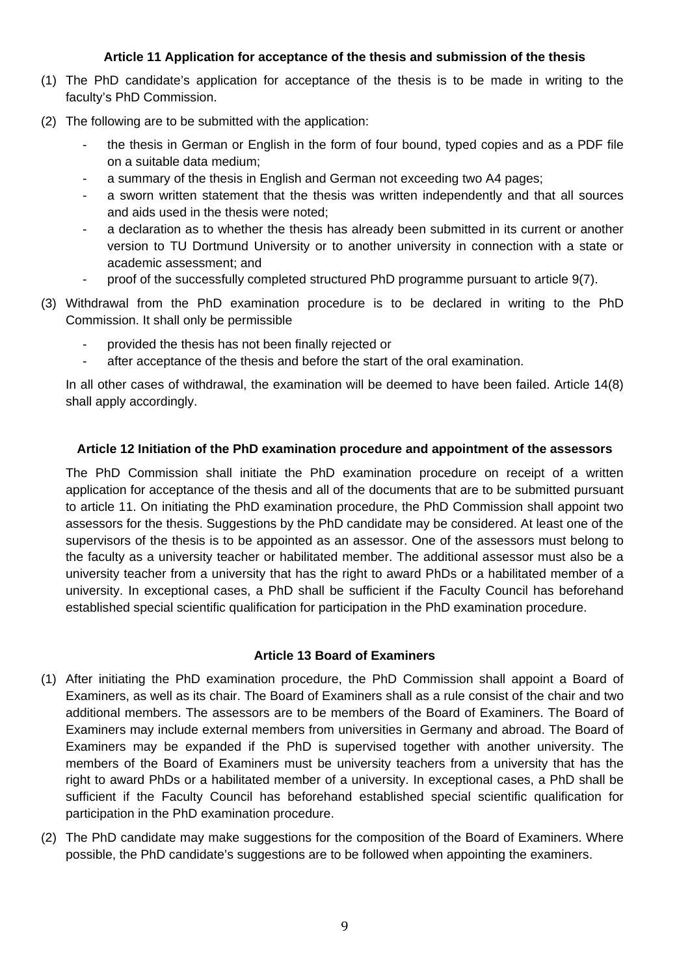# **Article 11 Application for acceptance of the thesis and submission of the thesis**

- (1) The PhD candidate's application for acceptance of the thesis is to be made in writing to the faculty's PhD Commission.
- (2) The following are to be submitted with the application:
	- the thesis in German or English in the form of four bound, typed copies and as a PDF file on a suitable data medium;
	- a summary of the thesis in English and German not exceeding two A4 pages;
	- a sworn written statement that the thesis was written independently and that all sources and aids used in the thesis were noted;
	- a declaration as to whether the thesis has already been submitted in its current or another version to TU Dortmund University or to another university in connection with a state or academic assessment; and
	- proof of the successfully completed structured PhD programme pursuant to article 9(7).
- (3) Withdrawal from the PhD examination procedure is to be declared in writing to the PhD Commission. It shall only be permissible
	- provided the thesis has not been finally rejected or
	- after acceptance of the thesis and before the start of the oral examination.

In all other cases of withdrawal, the examination will be deemed to have been failed. Article 14(8) shall apply accordingly.

### **Article 12 Initiation of the PhD examination procedure and appointment of the assessors**

The PhD Commission shall initiate the PhD examination procedure on receipt of a written application for acceptance of the thesis and all of the documents that are to be submitted pursuant to article 11. On initiating the PhD examination procedure, the PhD Commission shall appoint two assessors for the thesis. Suggestions by the PhD candidate may be considered. At least one of the supervisors of the thesis is to be appointed as an assessor. One of the assessors must belong to the faculty as a university teacher or habilitated member. The additional assessor must also be a university teacher from a university that has the right to award PhDs or a habilitated member of a university. In exceptional cases, a PhD shall be sufficient if the Faculty Council has beforehand established special scientific qualification for participation in the PhD examination procedure.

### **Article 13 Board of Examiners**

- (1) After initiating the PhD examination procedure, the PhD Commission shall appoint a Board of Examiners, as well as its chair. The Board of Examiners shall as a rule consist of the chair and two additional members. The assessors are to be members of the Board of Examiners. The Board of Examiners may include external members from universities in Germany and abroad. The Board of Examiners may be expanded if the PhD is supervised together with another university. The members of the Board of Examiners must be university teachers from a university that has the right to award PhDs or a habilitated member of a university. In exceptional cases, a PhD shall be sufficient if the Faculty Council has beforehand established special scientific qualification for participation in the PhD examination procedure.
- (2) The PhD candidate may make suggestions for the composition of the Board of Examiners. Where possible, the PhD candidate's suggestions are to be followed when appointing the examiners.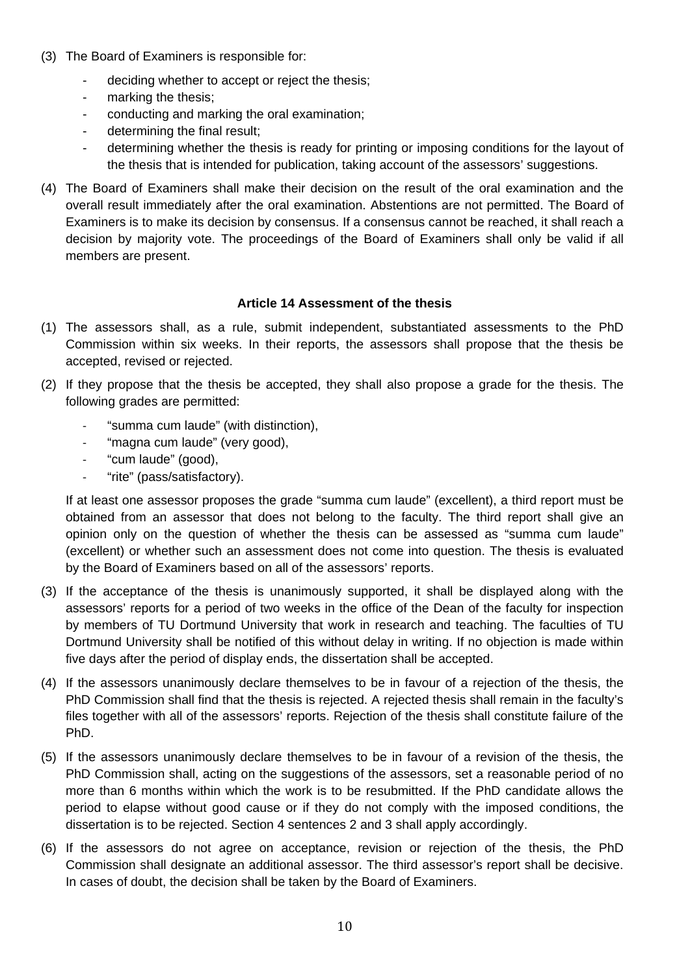- (3) The Board of Examiners is responsible for:
	- deciding whether to accept or reject the thesis;
	- marking the thesis;
	- conducting and marking the oral examination;
	- determining the final result;
	- determining whether the thesis is ready for printing or imposing conditions for the layout of the thesis that is intended for publication, taking account of the assessors' suggestions.
- (4) The Board of Examiners shall make their decision on the result of the oral examination and the overall result immediately after the oral examination. Abstentions are not permitted. The Board of Examiners is to make its decision by consensus. If a consensus cannot be reached, it shall reach a decision by majority vote. The proceedings of the Board of Examiners shall only be valid if all members are present.

# **Article 14 Assessment of the thesis**

- (1) The assessors shall, as a rule, submit independent, substantiated assessments to the PhD Commission within six weeks. In their reports, the assessors shall propose that the thesis be accepted, revised or rejected.
- (2) If they propose that the thesis be accepted, they shall also propose a grade for the thesis. The following grades are permitted:
	- ‐ "summa cum laude" (with distinction),
	- ‐ "magna cum laude" (very good),
	- ‐ "cum laude" (good),
	- ‐ "rite" (pass/satisfactory).

If at least one assessor proposes the grade "summa cum laude" (excellent), a third report must be obtained from an assessor that does not belong to the faculty. The third report shall give an opinion only on the question of whether the thesis can be assessed as "summa cum laude" (excellent) or whether such an assessment does not come into question. The thesis is evaluated by the Board of Examiners based on all of the assessors' reports.

- (3) If the acceptance of the thesis is unanimously supported, it shall be displayed along with the assessors' reports for a period of two weeks in the office of the Dean of the faculty for inspection by members of TU Dortmund University that work in research and teaching. The faculties of TU Dortmund University shall be notified of this without delay in writing. If no objection is made within five days after the period of display ends, the dissertation shall be accepted.
- (4) If the assessors unanimously declare themselves to be in favour of a rejection of the thesis, the PhD Commission shall find that the thesis is rejected. A rejected thesis shall remain in the faculty's files together with all of the assessors' reports. Rejection of the thesis shall constitute failure of the PhD.
- (5) If the assessors unanimously declare themselves to be in favour of a revision of the thesis, the PhD Commission shall, acting on the suggestions of the assessors, set a reasonable period of no more than 6 months within which the work is to be resubmitted. If the PhD candidate allows the period to elapse without good cause or if they do not comply with the imposed conditions, the dissertation is to be rejected. Section 4 sentences 2 and 3 shall apply accordingly.
- (6) If the assessors do not agree on acceptance, revision or rejection of the thesis, the PhD Commission shall designate an additional assessor. The third assessor's report shall be decisive. In cases of doubt, the decision shall be taken by the Board of Examiners.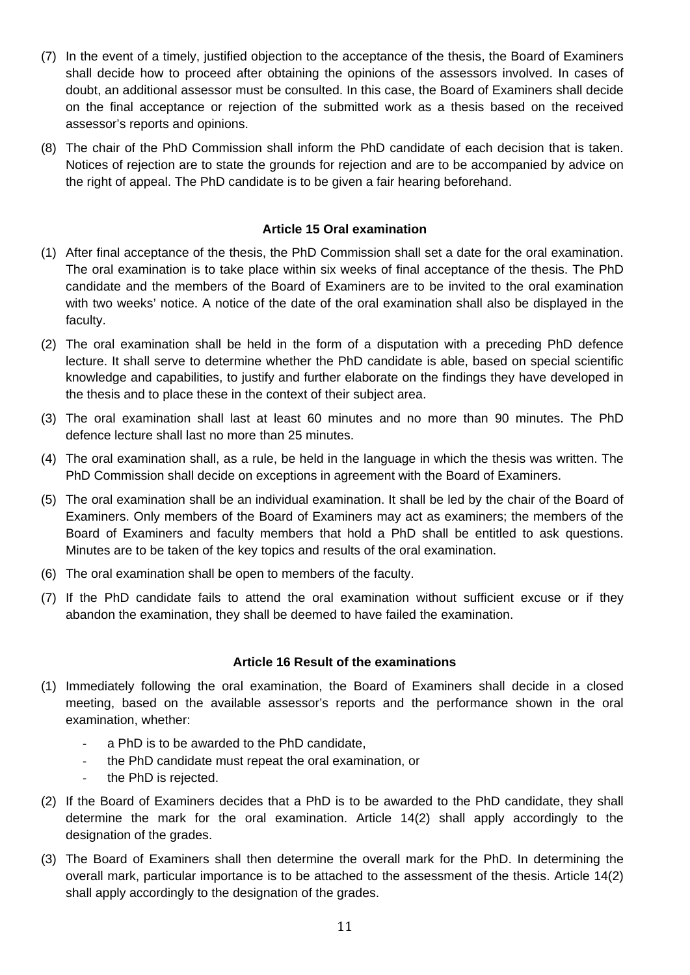- (7) In the event of a timely, justified objection to the acceptance of the thesis, the Board of Examiners shall decide how to proceed after obtaining the opinions of the assessors involved. In cases of doubt, an additional assessor must be consulted. In this case, the Board of Examiners shall decide on the final acceptance or rejection of the submitted work as a thesis based on the received assessor's reports and opinions.
- (8) The chair of the PhD Commission shall inform the PhD candidate of each decision that is taken. Notices of rejection are to state the grounds for rejection and are to be accompanied by advice on the right of appeal. The PhD candidate is to be given a fair hearing beforehand.

# **Article 15 Oral examination**

- (1) After final acceptance of the thesis, the PhD Commission shall set a date for the oral examination. The oral examination is to take place within six weeks of final acceptance of the thesis. The PhD candidate and the members of the Board of Examiners are to be invited to the oral examination with two weeks' notice. A notice of the date of the oral examination shall also be displayed in the faculty.
- (2) The oral examination shall be held in the form of a disputation with a preceding PhD defence lecture. It shall serve to determine whether the PhD candidate is able, based on special scientific knowledge and capabilities, to justify and further elaborate on the findings they have developed in the thesis and to place these in the context of their subject area.
- (3) The oral examination shall last at least 60 minutes and no more than 90 minutes. The PhD defence lecture shall last no more than 25 minutes.
- (4) The oral examination shall, as a rule, be held in the language in which the thesis was written. The PhD Commission shall decide on exceptions in agreement with the Board of Examiners.
- (5) The oral examination shall be an individual examination. It shall be led by the chair of the Board of Examiners. Only members of the Board of Examiners may act as examiners; the members of the Board of Examiners and faculty members that hold a PhD shall be entitled to ask questions. Minutes are to be taken of the key topics and results of the oral examination.
- (6) The oral examination shall be open to members of the faculty.
- (7) If the PhD candidate fails to attend the oral examination without sufficient excuse or if they abandon the examination, they shall be deemed to have failed the examination.

### **Article 16 Result of the examinations**

- (1) Immediately following the oral examination, the Board of Examiners shall decide in a closed meeting, based on the available assessor's reports and the performance shown in the oral examination, whether:
	- ‐ a PhD is to be awarded to the PhD candidate,
	- ‐ the PhD candidate must repeat the oral examination, or
	- the PhD is rejected.
- (2) If the Board of Examiners decides that a PhD is to be awarded to the PhD candidate, they shall determine the mark for the oral examination. Article 14(2) shall apply accordingly to the designation of the grades.
- (3) The Board of Examiners shall then determine the overall mark for the PhD. In determining the overall mark, particular importance is to be attached to the assessment of the thesis. Article 14(2) shall apply accordingly to the designation of the grades.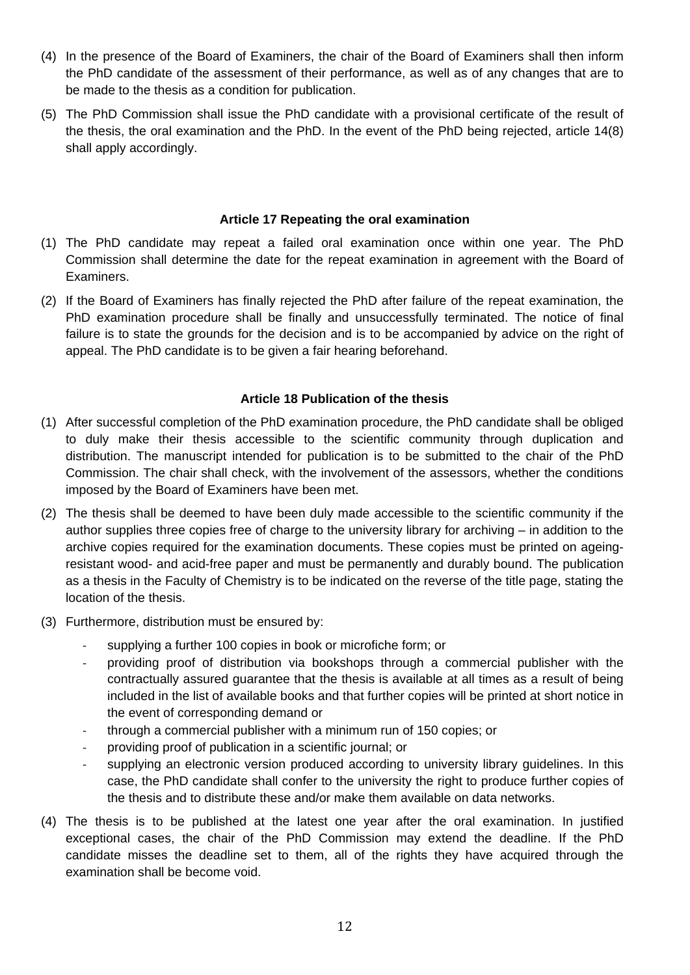- (4) In the presence of the Board of Examiners, the chair of the Board of Examiners shall then inform the PhD candidate of the assessment of their performance, as well as of any changes that are to be made to the thesis as a condition for publication.
- (5) The PhD Commission shall issue the PhD candidate with a provisional certificate of the result of the thesis, the oral examination and the PhD. In the event of the PhD being rejected, article 14(8) shall apply accordingly.

### **Article 17 Repeating the oral examination**

- (1) The PhD candidate may repeat a failed oral examination once within one year. The PhD Commission shall determine the date for the repeat examination in agreement with the Board of Examiners.
- (2) If the Board of Examiners has finally rejected the PhD after failure of the repeat examination, the PhD examination procedure shall be finally and unsuccessfully terminated. The notice of final failure is to state the grounds for the decision and is to be accompanied by advice on the right of appeal. The PhD candidate is to be given a fair hearing beforehand.

# **Article 18 Publication of the thesis**

- (1) After successful completion of the PhD examination procedure, the PhD candidate shall be obliged to duly make their thesis accessible to the scientific community through duplication and distribution. The manuscript intended for publication is to be submitted to the chair of the PhD Commission. The chair shall check, with the involvement of the assessors, whether the conditions imposed by the Board of Examiners have been met.
- (2) The thesis shall be deemed to have been duly made accessible to the scientific community if the author supplies three copies free of charge to the university library for archiving – in addition to the archive copies required for the examination documents. These copies must be printed on ageingresistant wood- and acid-free paper and must be permanently and durably bound. The publication as a thesis in the Faculty of Chemistry is to be indicated on the reverse of the title page, stating the location of the thesis.
- (3) Furthermore, distribution must be ensured by:
	- ‐ supplying a further 100 copies in book or microfiche form; or
	- ‐ providing proof of distribution via bookshops through a commercial publisher with the contractually assured guarantee that the thesis is available at all times as a result of being included in the list of available books and that further copies will be printed at short notice in the event of corresponding demand or
	- ‐ through a commercial publisher with a minimum run of 150 copies; or
	- ‐ providing proof of publication in a scientific journal; or
	- supplying an electronic version produced according to university library guidelines. In this case, the PhD candidate shall confer to the university the right to produce further copies of the thesis and to distribute these and/or make them available on data networks.
- (4) The thesis is to be published at the latest one year after the oral examination. In justified exceptional cases, the chair of the PhD Commission may extend the deadline. If the PhD candidate misses the deadline set to them, all of the rights they have acquired through the examination shall be become void.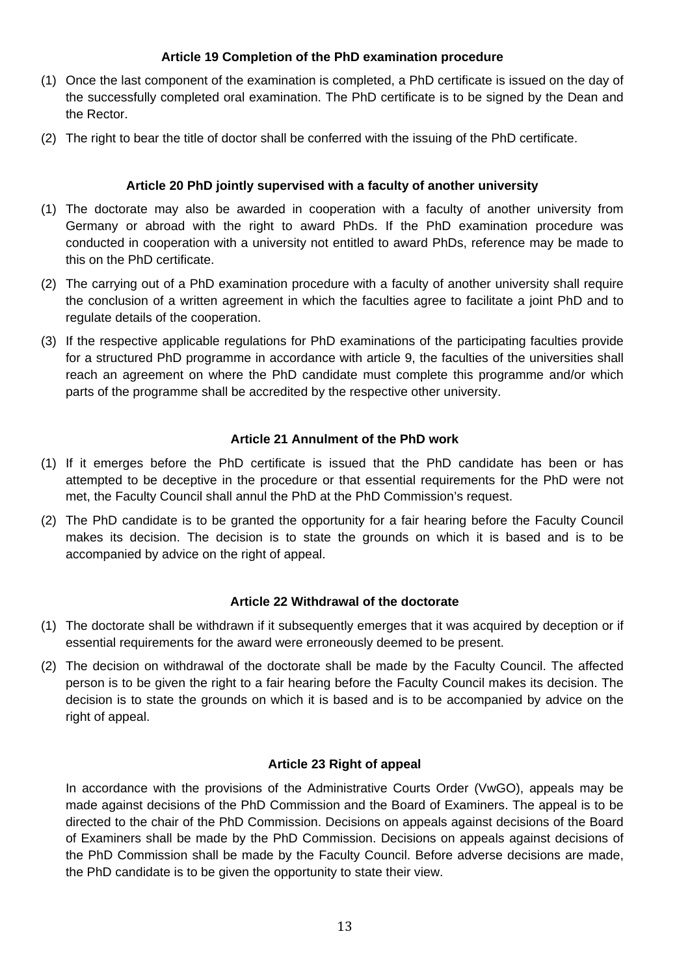# **Article 19 Completion of the PhD examination procedure**

- (1) Once the last component of the examination is completed, a PhD certificate is issued on the day of the successfully completed oral examination. The PhD certificate is to be signed by the Dean and the Rector.
- (2) The right to bear the title of doctor shall be conferred with the issuing of the PhD certificate.

# **Article 20 PhD jointly supervised with a faculty of another university**

- (1) The doctorate may also be awarded in cooperation with a faculty of another university from Germany or abroad with the right to award PhDs. If the PhD examination procedure was conducted in cooperation with a university not entitled to award PhDs, reference may be made to this on the PhD certificate.
- (2) The carrying out of a PhD examination procedure with a faculty of another university shall require the conclusion of a written agreement in which the faculties agree to facilitate a joint PhD and to regulate details of the cooperation.
- (3) If the respective applicable regulations for PhD examinations of the participating faculties provide for a structured PhD programme in accordance with article 9, the faculties of the universities shall reach an agreement on where the PhD candidate must complete this programme and/or which parts of the programme shall be accredited by the respective other university.

### **Article 21 Annulment of the PhD work**

- (1) If it emerges before the PhD certificate is issued that the PhD candidate has been or has attempted to be deceptive in the procedure or that essential requirements for the PhD were not met, the Faculty Council shall annul the PhD at the PhD Commission's request.
- (2) The PhD candidate is to be granted the opportunity for a fair hearing before the Faculty Council makes its decision. The decision is to state the grounds on which it is based and is to be accompanied by advice on the right of appeal.

### **Article 22 Withdrawal of the doctorate**

- (1) The doctorate shall be withdrawn if it subsequently emerges that it was acquired by deception or if essential requirements for the award were erroneously deemed to be present.
- (2) The decision on withdrawal of the doctorate shall be made by the Faculty Council. The affected person is to be given the right to a fair hearing before the Faculty Council makes its decision. The decision is to state the grounds on which it is based and is to be accompanied by advice on the right of appeal.

### **Article 23 Right of appeal**

In accordance with the provisions of the Administrative Courts Order (VwGO), appeals may be made against decisions of the PhD Commission and the Board of Examiners. The appeal is to be directed to the chair of the PhD Commission. Decisions on appeals against decisions of the Board of Examiners shall be made by the PhD Commission. Decisions on appeals against decisions of the PhD Commission shall be made by the Faculty Council. Before adverse decisions are made, the PhD candidate is to be given the opportunity to state their view.